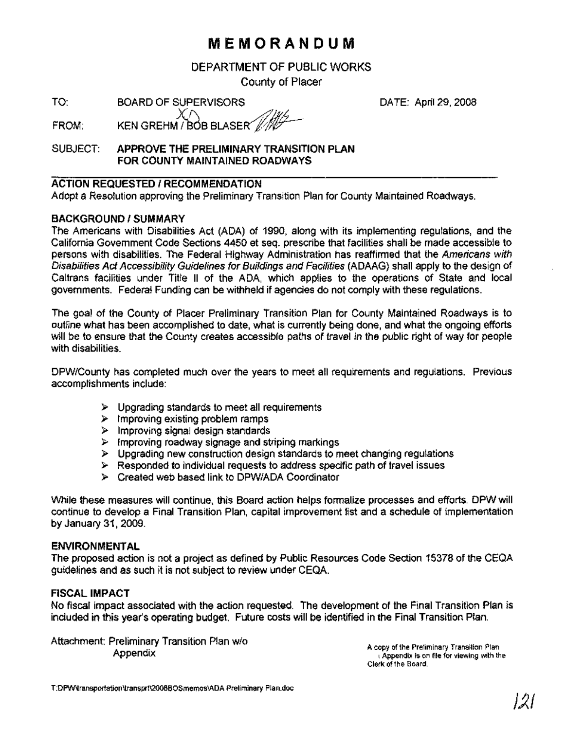# MEMORANDUM

### DEPARTMENT OF PUBLIC WORKS

County of Placer

TO: BOARD OF SUPERVISORS DATE: April 29, 2008

FROM:

KEN GREHM / BOB BLASER $\mathscr{C}$ 

#### SUBJECT: APPROVE THE PRELIMINARY TRANSITION PLAN FOR COUNTY MAINTAINED ROADWAYS

#### ACTION REQUESTED / RECOMMENDATION

Adopt a Resolution approving the Preliminary Transition Plan for County Maintained Roadways.

### BACKGROUND / SUMMARY

The Americans with Disabilities Act (ADA) of 1990, along with its implementing regulations, and the California Government Code Sections 4450 et seq. prescribe that facilities shall be made accessible to persons with disabilities. The Federal Highway Administration has reaffirmed that the Americans with Disabilities Act Accessibility Guidelines for Buildings and Facilities (ADAAG) shall apply to the design of Caltrans facilities under Title II of the ADA, which applies to the operations of State and local governments. Federal Funding can be withheld if agencies do not comply with these regulations.

The goal of the County of Placer Preliminary Transition Plan for County Maintained Roadways is to outline what has been accomplished to date, what is currently being done, and what the ongoing efforts will be to ensure that the County creates accessible paths of travel in the public right of way for people with disabilities.

DPW/County has completed much over the years to meet all requirements and regulations. Previous accomplishments include:

- $\triangleright$  Upgrading standards to meet all requirements
- $\triangleright$  Improving existing problem ramps
- $\triangleright$  Improving signal design standards
- $\triangleright$  Improving roadway signage and striping markings
- $\triangleright$  Upgrading new construction design standards to meet changing regulations
- $\triangleright$  Responded to individual requests to address specific path of travel issues
- )0> Created web based link to DPW/ADA Coordinator

While these measures will continue, this Board action helps formalize processes and efforts. DPW will continue to develop a Final Transition Plan, capital improvement list and a schedule of implementation by January 31, 2009.

#### ENVIRONMENTAL

The proposed action is not a project as defined by Public Resources Code Section 15378 of the CEQA guidelines and as such it is not subject to review under CEQA.

## FISCAL IMPACT

No fiscal impact associated with the action requested. The development of the Final Transition Plan is included in this year's operating budget. Future costs will be identified in the Final Transition Plan.

Attachment: Preliminary Transition Plan w/o Appendix

A copy of the Preliminary Transition Plan \ Appendix is on file for viewing with the Clerk of the Board.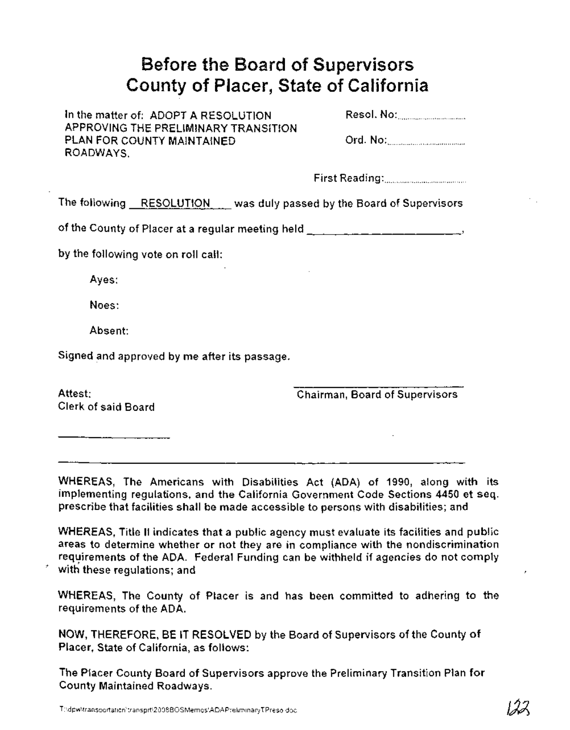# Before the Board of Supervisors County of Placer, State of California

In the matter of: ADOPT A RESOLUTION APPROVING THE PRELIMINARY TRANSITION PLAN FOR COUNTY MAINTAINED ROADWAYS.

Ord. No: .

First Reading: .

The following RESOLUTION was duly passed by the Board of Supervisors

of the County of Placer at a regular meeting held \_

by the following vote on roll call:

Ayes:

Noes:

Absent:

Signed and approved by me after its passage.

Attest: Clerk of said Board Chairman, Board of Supervisors

WHEREAS, The Americans with Disabilities Act (ADA) of 1990, along with its implementing regulations, and the California Government Code Sections 4450 et seq. prescribe that facilities shall be made accessible to persons with disabilities; and

WHEREAS, Title II indicates that a public agency must evaluate its facilities and public areas to determine whether or not they are in compliance with the nondiscrimination requirements of the ADA. Federal Funding can be withheld if agencies do not comply with these regulations; and

WHEREAS, The County of Placer is and has been committed to adhering to the requirements of the ADA.

NOW, THEREFORE, BE IT RESOLVED by the Board of Supervisors of the County of Placer, State of California, as follows:

The Placer County Board of Supervisors approve the Preliminary Transition Plan for County Maintained Roadways.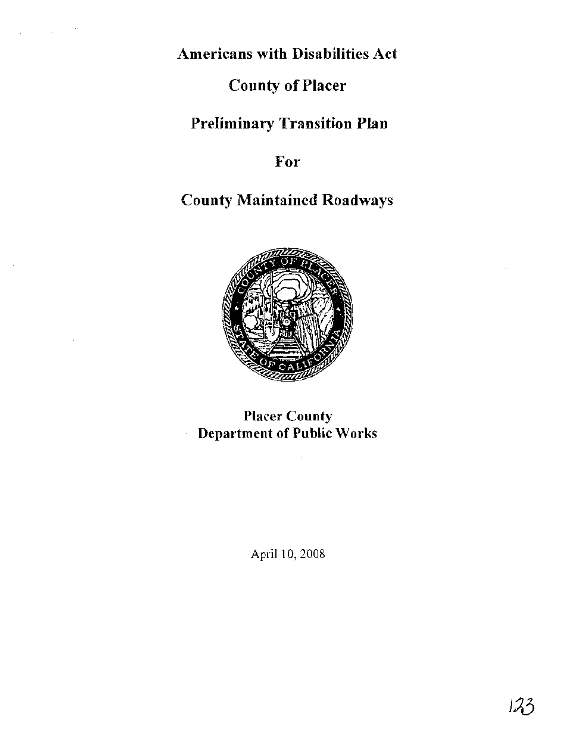# Americans with Disabilities Act

# County of Placer

# Preliminary Transition Plan

# For

# County Maintained Roadways



# Placer County Department of Public Works

April 10,2008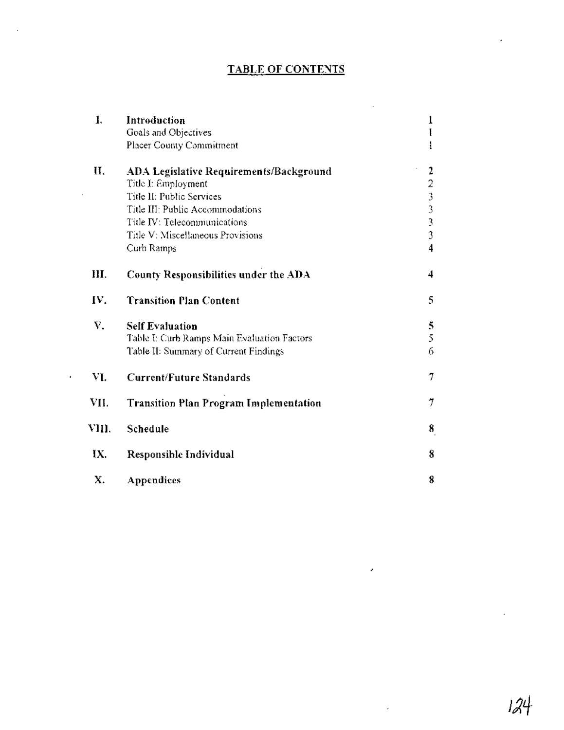# **TABLE OF CONTENTS**

 $\sim$ 

 $\cdot$ 

 $\mathcal{A}$ 

| Ĭ.    | Introduction                                     | 1              |
|-------|--------------------------------------------------|----------------|
|       | Goals and Objectives<br>Placer County Commitment | l<br>l         |
| H.    | ADA Legislative Requirements/Background          | 2              |
|       | Title I: Employment                              | $\overline{c}$ |
|       | Title II: Public Services                        | 3              |
|       | Title III: Public Accommodations                 | 3              |
|       | Title IV: Telecommunications                     |                |
|       | Title V: Miscellaneous Provisions                | $\frac{3}{3}$  |
|       | Curb Ramps                                       | 4              |
| Ш.    | County Responsibilities under the ADA            | 4              |
| IV.   | <b>Transition Plan Content</b>                   | 5              |
| V.    | <b>Self Evaluation</b>                           | 5              |
|       | Table I: Curb Ramps Main Evaluation Factors      | 5              |
|       | Table II: Summary of Current Findings            | 6              |
| VI.   | <b>Current/Future Standards</b>                  | 7              |
| VII.  | <b>Transition Plan Program Implementation</b>    | 7              |
| VIII. | Schedule                                         | 8              |
| IX.   | Responsible Individual                           | 8              |
| x.    | Appendices                                       | 8              |

 $\bar{z}$ 

 $\epsilon$ 

l,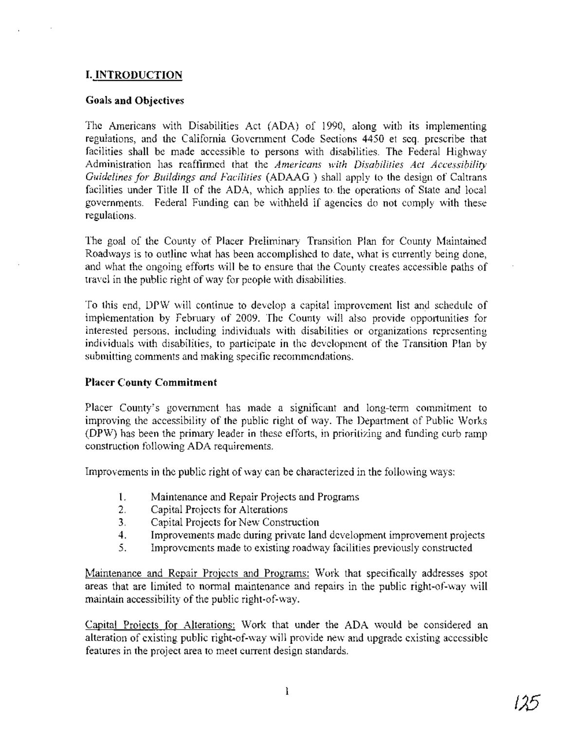### **I. INTRODUCTION**

#### **Goals and Objectives**

The Americans with Disabilities Act (ADA) of 1990, along with its implementing regulations, and the California Government Code Sections 4450 et seq. prescribe that facilities shall be made accessible to persons with disabilities. The Federal Highway Administration has reaffirmed that the *Americans with Disabilities Act Accessibility Guidelines for Buildings and Facilities* (ADAAG ) shall apply to the design of Caltrans facilities under Title II of the ADA, which applies to. the operations of State and local governments. Federal Funding can be withheld if agencies do not comply with these regulations.

The goal of the County of Placer Preliminary Transition Plan for County Maintained Roadways is to outline what has been accomplished to date, what is currently being done, and what the ongoing efforts will be to ensure that the County creates accessible paths of travel in the public right of way for people with disabilities.

To this end, DPW will continue to develop a capital improvement list and schedule of implementation by February of 2009. The County will also provide opportunities for interested persons, including individuals with disabilities or organizations representing individuals with disabilities, to participate in the development of the Transition Plan by submitting comments and making specific recommendations.

#### **Placer County Commitment**

Placer County's government has made a significant and long-term commitment to improving the accessibility of the public right of way. The Department of Public Works (DPW) has been the primary leader in these efforts, in prioritizing and funding curb ramp construction following ADA requirements.

Improvements in the public right of way can be characterized in the following ways:

- 1. Maintenance and Repair Projects and Programs
- 2. Capital Projects for Alterations
- 3. Capital Projects for New Construction
- 4. Improvements made during private land development improvement projects
- 5. Improvements made to existing roadway facilities previously constructed

Maintenance and Repair Projects and Programs: Work that specifically addresses spot areas that are limited to normal maintenance and repairs in the public right-of-way will maintain accessibility of the public right-of-way.

Capital Projects for Alterations: Work that under the ADA would be considered an alteration of existing public right-of-way will provide new and upgrade existing accessible features in the project area to meet current design standards.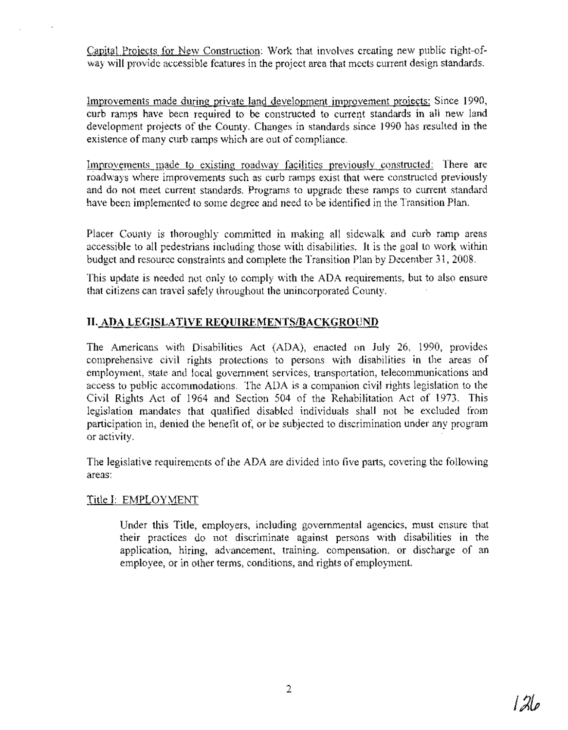Capital Projects for New Construction: Work that involves creating new public right-ofway will provide accessible features in the project area that meets current design standards.

Improvements made during private land development improvement projects: Since 1990, curb ramps have been required to be constructed to current standards in all new land development projects of the County. Changes in standards since 1990 has resulted in the existence of many curb ramps which are out of compliance.

Improvements made to existing roadway facilities previously constructed: There are roadways where improvements such as curb ramps exist that were constructed previously and do not meet current standards. Programs to upgrade these ramps to current standard have been implemented to some degree and need to be identified in the Transition Plan.

Placer County is thoroughly committed in making all sidewalk and curb ramp areas accessible to all pedestrians including those with disabilities. It is the goal to work within budget and resource constraints and complete the Transition Plan by December 31, 2008.

This update is needed not only to comply with the ADA requirements, but to also ensure that citizens can travel safely throughout the unincorporated County.

# **II. ADA LEGISLATIVE REQUIREMENTSIBACKGROUND**

The Americans with Disabilities Act (ADA), enacted on July 26, 1990, provides comprehensive civil rights protections to persons with disabilities in the areas of employment, state and local government services, transportation, telecommunications and access to public accommodations. The ADA is a companion civil rights legislation to the Civil Rights Act of 1964 and Section 504 of the Rehabilitation Act of 1973. This legislation mandates that qualified disabled individuals shall not be excluded from participation in, denied the benefit of, or be subjected to discrimination under any program or activity.

The legislative requirements of the ADA are divided into five parts, covering the following areas:

## Title I: EMPLOYMENT

Under this Title, employers, including governmental agencies, must ensure that their practices do not discriminate against persons with disabilities in the application, hiring, advancement, training, compensation, or discharge of an employee, or in other terms, conditions, and rights of employment.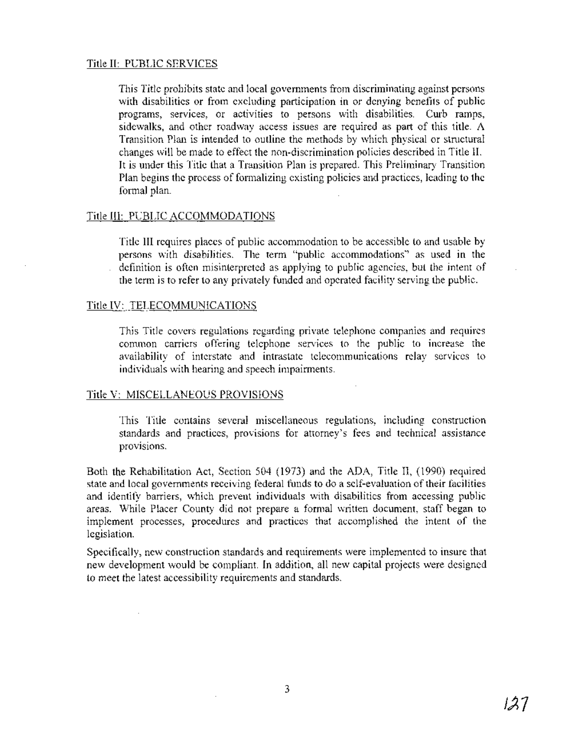#### Title II: PUBLIC SERVICES

This Title prohibits state and local governments from discriminating against persons with disabilities or from excluding participation in or denying benefits of public programs, services, or activities to persons with disabilities. Curb ramps, sidewalks, and other roadway access issues are required as part of this title. A Transition Plan is intended to outline the methods by which physical or structural changes will be made to effect the non-discrimination policies described in Title II. It is under this Title that a Transition Plan is prepared. This Preliminary Transition Plan begins the process of formalizing existing policies and practices, leading to the formal plan.

#### Title III: PUBLIC ACCOMMODATIONS

Title III requires places of public accommodation to be accessible to and usable by persons with disabilities. The term "public accommodations" as used in the definition is often misinterpreted as applying to public agencies, but the intent of the term is to refer to any privately funded and operated facility serving the public.

#### Title IV: TELECOMMUNICATIONS

 $\mathbb{R}^2$ 

This Title covers regulations regarding private telephone companies and requires common carriers offering telephone services to the public to increase the availability of interstate and intrastate telecommunications relay services to individuals with hearing and speech impairments.

#### Title V: MISCELLANEOUS PROVISIONS

This Title contains several miscellaneous regulations, including construction standards and practices, provisions for attorney's fees and technical assistance provisions.

Both the Rehabilitation Act, Section 504 (1973) and the ADA, Title II, (1990) required state and local governments receiving federal funds to do a self-evaluation of their facilities and identify barriers, which prevent individuals with disabilities from accessing public areas. While Placer County did not prepare a formal written document, staff began to implement processes, procedures and practices that accomplished the intent of the legislation.

Specifically, new construction standards and requirements were implemented to insure that new development would be compliant. In addition, all new capital projects were designed to meet the latest accessibility requirements and standards.

 $\overline{\phantom{a}}$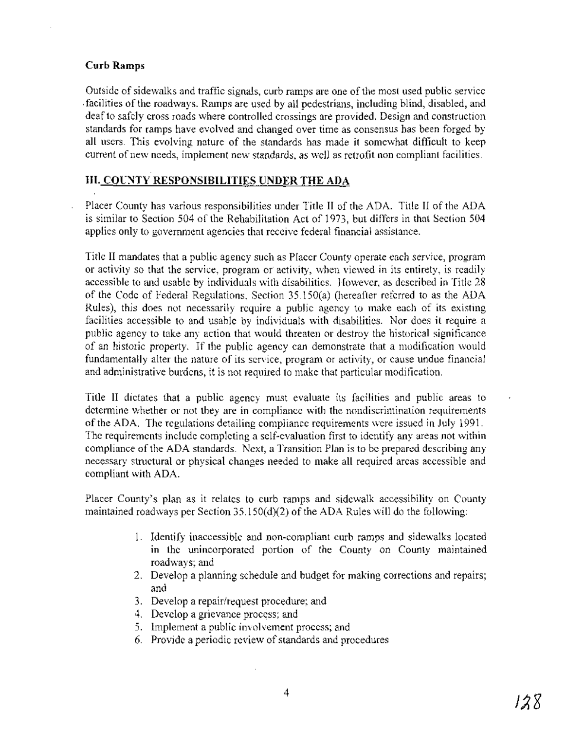### **Curb Ramps**

Outside of sidewalks and traffic signals, curb ramps are one of the most used public service .facilities of the roadways. Ramps are used by all pedestrians, including blind, disabled, and deafto safely cross roads where controlled crossings are provided. Design and construction standards for ramps have evolved and changed over time as consensus has been forged by all users. This evolving nature of the standards has made it somewhat difficult to keep current of new needs, implement new standards, as well as retrofit non compliant facilities.

## **III. COUNTY RESPONSIBILITIES UNDER THE ADA**

Placer County has various responsibilities under Title II of the ADA. Title II of the ADA is similar to Section 504 of the Rehabilitation Act of 1973, but differs in that Section 504 applies only to government agencies that receive federal financial assistance.

Title II mandates that a public agency such as Placer County operate each service, program or activity so that the service, program or activity, when viewed in its entirety, is readily accessible to and usable by individuals with disabilities. However, as described in Title 28 of the Code of Federal Regulations, Section 35.150(a) (hereafter referred to as the ADA Rules), this does not necessarily require a public agency to make each of its existing facilities accessible to and usable by individuals with disabilities. Nor does it require a public agency to take any action that would threaten or destroy the historical significance of an historic property. If the public agency can demonstrate that a modification would fundamentally alter the nature of its service, program or activity, or cause undue financial and administrative burdens, it is not required to make that particular modification.

Title II dictates that a public agency must evaluate its facilities and public areas to determine whether or not they are in compliance with the nondiscrimination requirements ofthe ADA. The regulations detailing compliance requirements were issued in July 1991. The requirements include completing a self-evaluation first to identify any areas not within compliance of the ADA standards. Next, a Transition Plan is to be prepared describing any necessary structural or physical changes needed to make all required areas accessible and compliant with ADA.

Placer County's plan as it relates to curb ramps and sidewalk accessibility on County maintained roadways per Section  $35.150(d)(2)$  of the ADA Rules will do the following:

- 1. Identify inaccessible and non-compliant curb ramps and sidewalks located in the unincorporated portion of the County on County maintained roadways; and
- 2. Develop a planning schedule and budget for making corrections and repairs; and
- 3. Develop a repair/request procedure; and
- 4. Develop a grievance process; and
- 5. Implement a public involvement process; and
- 6. Provide a periodic review of standards and procedures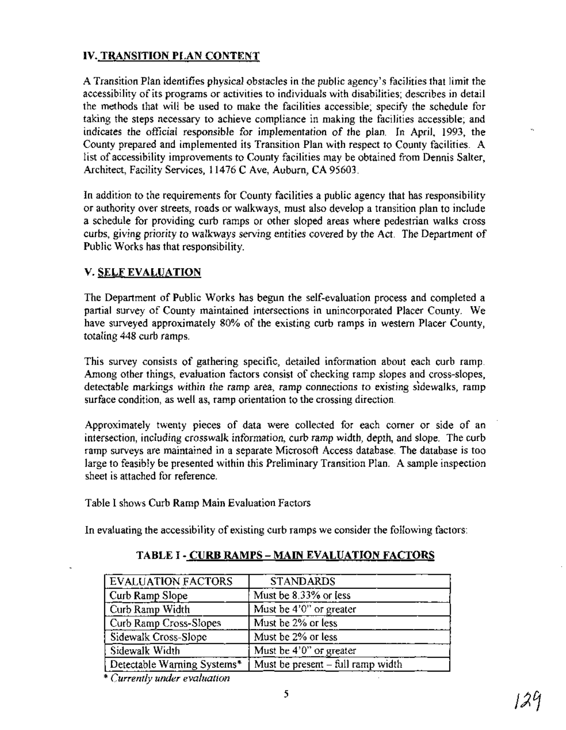# IV. TRANSITION PLAN CONTENT

A Transition Plan identifies physical obstacles in the public agency's facilities that limit the accessibility of its programs or activities to individuals with disabilities; describes in detail the methods that will be used to make the facilities accessible; specify the schedule for taking the steps necessary to achieve compliance in making the facilities accessible; and indicates the official responsible for implementation of the plan. In April, 1993, the County prepared and implemented its Transition Plan with respect to County facilities. A list of accessibility improvements to County facilities may be obtained from Dennis Salter, Architect, Facility Services, 11476 C Ave, Auburn, CA 95603.

In addition to the requirements for County facilities a public agency that has responsibility or authority over streets, roads or walkways, must also develop a transition plan to include a schedule for providing curb ramps or other sloped areas where pedestrian walks cross curbs, giving priority to walkways serving entities covered by the Act. The Department of Public Works has that responsibility.

# V. SELF EVALUATION

The Department of Public Works has begun the self-evaluation process and completed a partial survey of County maintained intersections in unincorporated Placer County. We have surveyed approximately 80% of the existing curb ramps in western Placer County, totaling 448 curb ramps.

This survey consists of gathering specific, detailed information about each curb ramp. Among other things, evaluation factors consist of checking ramp slopes and cross-slopes, detectable markings within the ramp area, ramp connections to existing sidewalks, ramp surface condition, as well as, ramp orientation to the crossing direction.

Approximately twenty pieces of data were collected for each comer or side of an intersection, including crosswalk information, curb ramp width, depth, and slope. The curb ramp surveys are maintained in a separate Microsoft Access database. The database is too large to feasibly be presented within this Preliminary Transition Plan. A sample inspection sheet is attached for reference.

Table I shows Curb Ramp Main Evaluation Factors

In evaluating the accessibility of existing curb ramps we consider the following factors:

| <b>EVALUATION FACTORS</b>   | <b>STANDARDS</b>                  |
|-----------------------------|-----------------------------------|
| Curb Ramp Slope             | Must be 8.33% or less             |
| Curb Ramp Width             | Must be 4'0" or greater           |
| Curb Ramp Cross-Slopes      | Must be 2% or less                |
| Sidewalk Cross-Slope        | Must be 2% or less                |
| Sidewalk Width              | Must be 4'0" or greater           |
| Detectable Warning Systems* | Must be present - full ramp width |

# TABLE 1- CURB RAMPS - MAIN EVALUATION FACTORS

\* *Currently under evaluation*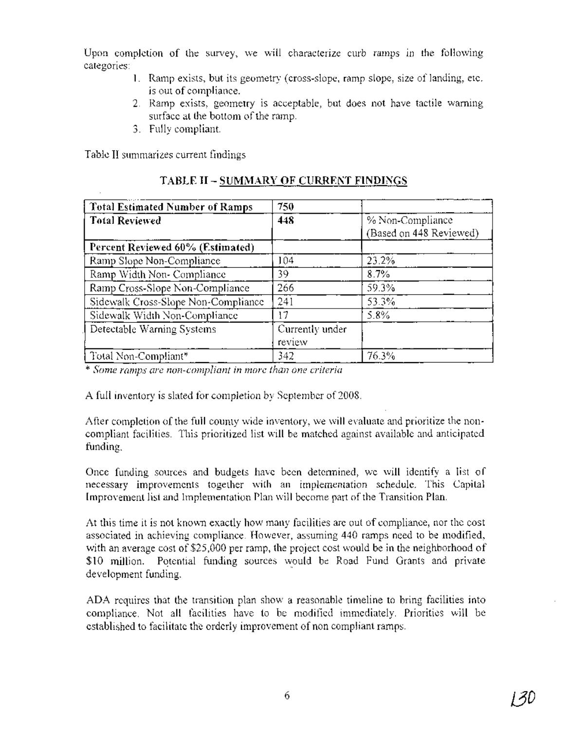Upon completion of the survey, we will characterize curb ramps in the following categories:

- 1. Ramp exists, but its geometry (cross-slope, ramp slope, size of landing, etc. is out of compliance.
- 2. Ramp exists, geometry is acceptable, but does not have tactile warning surface at the bottom of the ramp.
- 3. Fully compliant.

Table II summarizes current findings

| <b>Total Estimated Number of Ramps</b> | 750                       |                                             |
|----------------------------------------|---------------------------|---------------------------------------------|
| <b>Total Reviewed</b>                  | 448                       | % Non-Compliance<br>(Based on 448 Reviewed) |
| Percent Reviewed 60% (Estimated)       |                           |                                             |
| Ramp Slope Non-Compliance              | 104                       | 23.2%                                       |
| Ramp Width Non-Compliance              | 39                        | 8.7%                                        |
| Ramp Cross-Slope Non-Compliance        | 266                       | 59.3%                                       |
| Sidewalk Cross-Slope Non-Compliance    | 241                       | 53.3%                                       |
| Sidewalk Width Non-Compliance          | 17                        | 5.8%                                        |
| Detectable Warning Systems             | Currently under<br>review |                                             |
| Total Non-Compliant*                   | 342                       | 76.3%                                       |

# **TABLE 11- SUMMARY OF CURRENT FINDINGS**

\* *Some ramps are non-compliant in more than one criteria*

A full inventory is slated for completion by September of 2008.

After completion of the full county wide inventory, we will evaluate and prioritize the noncompliant facilities. This prioritized list will be matched against available and anticipated funding.

Once funding sources and budgets have been determined, we will identify a list of necessary improvements together with an implementation schedule. This Capital Improvement list and Implementation Plan will become part ofthe Transition Plan.

At this time it is not known exactly how many facilities are out of compliance, nor the cost associated in achieving compliance. However, assuming 440 ramps need to be modified, with an average cost of \$25,000 per ramp, the project cost would be in the neighborhood of \$10 million. Potential funding sources would be Road Fund Grants and private development funding.

ADA requires that the transition plan show a reasonable timeline to bring facilities into compliance. Not all facilities have to be modified immediately. Priorities will be established to facilitate the orderly improvement of non compliant ramps.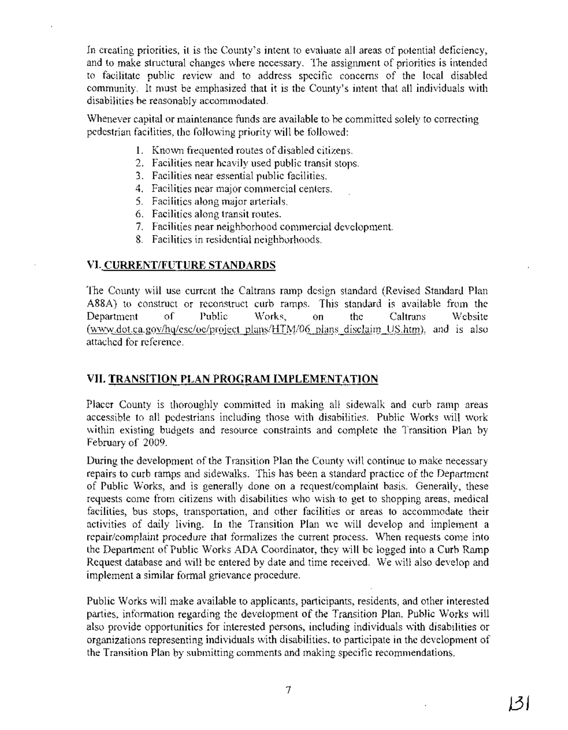In creating priorities, it is the County's intent to evaluate all areas of potential deficiency, and to make structural changes where necessary. The assigmnent of priorities is intended to facilitate public review and to address' specific concerns of the local disabled community. It must be emphasized that it is the County's intent that all individuals with disabilities be reasonably accommodated.

Whenever capital or maintenance funds are available to be committed solely to correcting pedestrian facilities, the following priority will be followed:

- 1. Known frequented routes of disabled citizens.
- 2. Facilities near heavily used public transit stops.
- 3. Facilities near essential public facilities.
- 4. Facilities near major commercial centers.
- 5. Facilities along major arterials.
- 6. Facilities along transit routes.
- 7. Facilities near neighborhood commercial development.
- 8. Facilities in residential neighborhoods.

#### **VI. CURRENT/FUTURE STANDARDS**

The County will use current the Caltrans ramp design standard (Revised Standard Plan A88A) to construct or reconstruct curb ramps. This standard is available from the Department of Public Works, on the Caltrans Website (www.dot.ca.gov/hq/esc/oe/project plans/HTM/06 plans disclaim US.htm), and is also attached for reference.

#### **VII. TRANSITION PLAN PROGRAM IMPLEMENTATION**

Placer County is thoroughly committed in making all sidewalk and curb ramp areas accessible to all pedestrians including those with disabilities. Public Works will work within' existing budgets and resource constraints and complete the Transition Plan by February of 2009.

During the development of the Transition Plan the County will continue to make necessary repairs to curb ramps and sidewalks. This has been a standard practice of the Department of Public Works, and is generally done on a request/complaint basis. Generally, these requests come from citizens with disabilities who wish -to get to shopping areas, medical facilities, bus stops, transportation, and other facilities or areas to accommodate their activities of daily living. In the Transition Plan we will develop and implement a repair/complaint procedure that formalizes the current process. When requests come into the Department of Public Works ADA Coordinator, they will be logged into a Curb Ramp Request database and will be entered by date and time received. We will also develop and implement a similar formal grievance procedure.

Public Works will make available to applicants, participants, residents, and other interested parties, information regarding the development of the Transition Plan. Public Works will also provide opportunities for interested persons, including individuals with disabilities or organizations representing individuals with disabilities, to participate in the development of the Transition Plan by submitting comments and making specific recommendations.